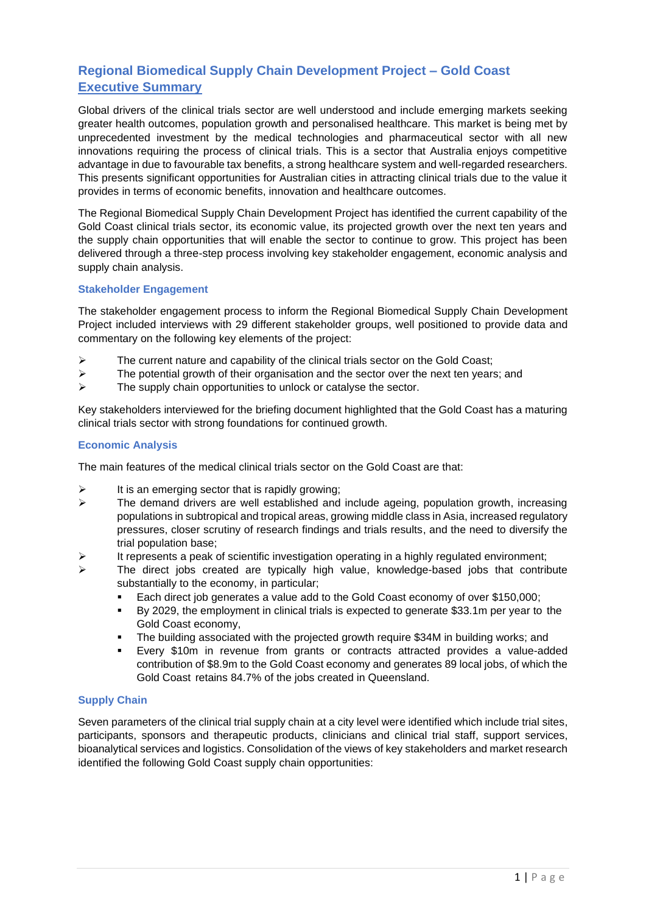## **Regional Biomedical Supply Chain Development Project – Gold Coast Executive Summary**

Global drivers of the clinical trials sector are well understood and include emerging markets seeking greater health outcomes, population growth and personalised healthcare. This market is being met by unprecedented investment by the medical technologies and pharmaceutical sector with all new innovations requiring the process of clinical trials. This is a sector that Australia enjoys competitive advantage in due to favourable tax benefits, a strong healthcare system and well-regarded researchers. This presents significant opportunities for Australian cities in attracting clinical trials due to the value it provides in terms of economic benefits, innovation and healthcare outcomes.

The Regional Biomedical Supply Chain Development Project has identified the current capability of the Gold Coast clinical trials sector, its economic value, its projected growth over the next ten years and the supply chain opportunities that will enable the sector to continue to grow. This project has been delivered through a three-step process involving key stakeholder engagement, economic analysis and supply chain analysis.

## **Stakeholder Engagement**

The stakeholder engagement process to inform the Regional Biomedical Supply Chain Development Project included interviews with 29 different stakeholder groups, well positioned to provide data and commentary on the following key elements of the project:

- ➢ The current nature and capability of the clinical trials sector on the Gold Coast;
- $\triangleright$  The potential growth of their organisation and the sector over the next ten years; and
- $\triangleright$  The supply chain opportunities to unlock or catalyse the sector.

Key stakeholders interviewed for the briefing document highlighted that the Gold Coast has a maturing clinical trials sector with strong foundations for continued growth.

## **Economic Analysis**

The main features of the medical clinical trials sector on the Gold Coast are that:

- $\triangleright$  It is an emerging sector that is rapidly growing;
- ➢ The demand drivers are well established and include ageing, population growth, increasing populations in subtropical and tropical areas, growing middle class in Asia, increased regulatory pressures, closer scrutiny of research findings and trials results, and the need to diversify the trial population base;
- $\triangleright$  It represents a peak of scientific investigation operating in a highly regulated environment;
- $\triangleright$  The direct jobs created are typically high value, knowledge-based jobs that contribute substantially to the economy, in particular;
	- Each direct job generates a value add to the Gold Coast economy of over \$150,000;
	- By 2029, the employment in clinical trials is expected to generate \$33.1m per year to the Gold Coast economy,
	- The building associated with the projected growth require \$34M in building works; and
	- Every \$10m in revenue from grants or contracts attracted provides a value-added contribution of \$8.9m to the Gold Coast economy and generates 89 local jobs, of which the Gold Coast retains 84.7% of the jobs created in Queensland.

## **Supply Chain**

Seven parameters of the clinical trial supply chain at a city level were identified which include trial sites, participants, sponsors and therapeutic products, clinicians and clinical trial staff, support services, bioanalytical services and logistics. Consolidation of the views of key stakeholders and market research identified the following Gold Coast supply chain opportunities: